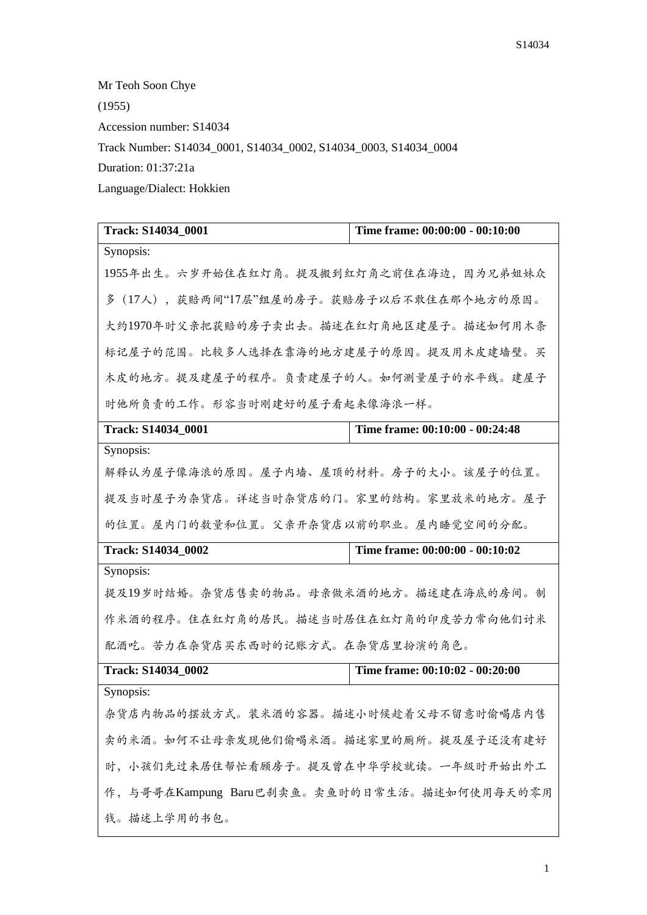Mr Teoh Soon Chye  $(1955)$ Accession number: S14034 Track Number: S14034\_0001, S14034\_0002, S14034\_0003, S14034\_0004 Duration: 01:37:21a Language/Dialect: Hokkien

| Track: S14034_0001                           | Time frame: 00:00:00 - 00:10:00 |  |
|----------------------------------------------|---------------------------------|--|
| Synopsis:                                    |                                 |  |
| 1955年出生。六岁开始住在红灯角。提及搬到红灯角之前住在海边,因为兄弟姐妹众      |                                 |  |
| 多(17人),获赔两间"17层"组屋的房子。获赔房子以后不敢住在那个地方的原因。     |                                 |  |
| 大约1970年时父亲把获赔的房子卖出去。描述在红灯角地区建屋子。描述如何用木条      |                                 |  |
| 标记屋子的范围。比较多人选择在靠海的地方建屋子的原因。提及用木皮建墙壁。买        |                                 |  |
| 木皮的地方。提及建屋子的程序。负责建屋子的人。如何测量屋子的水平线。建屋子        |                                 |  |
| 时他所负责的工作。形容当时刚建好的屋子看起来像海浪一样。                 |                                 |  |
| Track: S14034_0001                           | Time frame: 00:10:00 - 00:24:48 |  |
| Synopsis:                                    |                                 |  |
| 解释认为屋子像海浪的原因。屋子内墙、屋顶的材料。房子的大小。该屋子的位置。        |                                 |  |
| 提及当时屋子为杂货店。详述当时杂货店的门。家里的结构。家里放米的地方。屋子        |                                 |  |
| 的位置。屋内门的数量和位置。父亲开杂货店以前的职业。屋内睡觉空间的分配。         |                                 |  |
| Track: S14034_0002                           | Time frame: 00:00:00 - 00:10:02 |  |
| Synopsis:                                    |                                 |  |
| 提及19岁时结婚。杂货店售卖的物品。母亲做米酒的地方。描述建在海底的房间。制       |                                 |  |
| 作米酒的程序。住在红灯角的居民。描述当时居住在红灯角的印度苦力常向他们讨米        |                                 |  |
| 配酒吃。苦力在杂货店买东西时的记账方式。在杂货店里扮演的角色。              |                                 |  |
| Track: S14034_0002                           | Time frame: 00:10:02 - 00:20:00 |  |
| Synopsis:                                    |                                 |  |
| 杂货店内物品的摆放方式。装米酒的容器。描述小时候趁着父母不留意时偷喝店内售        |                                 |  |
| 卖的米酒。如何不让母亲发现他们偷喝米酒。描述家里的厕所。提及屋子还没有建好        |                                 |  |
| 时,小孩们先过来居住帮忙看顾房子。提及曾在中华学校就读。一年级时开始出外工        |                                 |  |
| 作, 与哥哥在Kampung Baru巴刹卖鱼。卖鱼时的日常生活。描述如何使用每天的零用 |                                 |  |
| 钱。描述上学用的书包。                                  |                                 |  |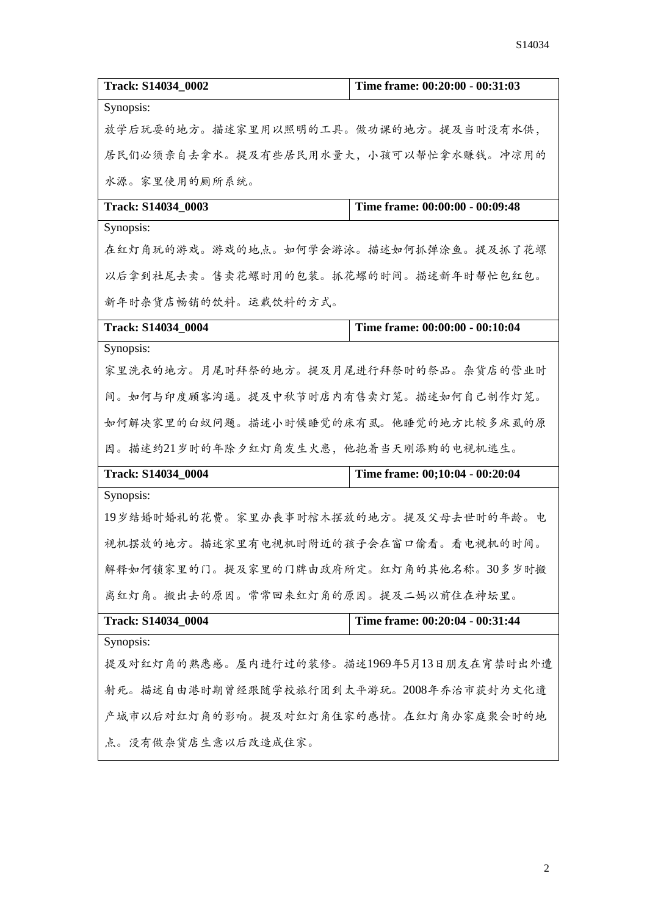| Track: S14034_0002                        | Time frame: 00:20:00 - 00:31:03 |  |
|-------------------------------------------|---------------------------------|--|
| Synopsis:                                 |                                 |  |
| 放学后玩耍的地方。描述家里用以照明的工具。做功课的地方。提及当时没有水供,     |                                 |  |
| 居民们必须亲自去拿水。提及有些居民用水量大,小孩可以帮忙拿水赚钱。冲凉用的     |                                 |  |
| 水源。家里使用的厕所系统。                             |                                 |  |
| Track: S14034 0003                        | Time frame: 00:00:00 - 00:09:48 |  |
| Synopsis:                                 |                                 |  |
| 在红灯角玩的游戏。游戏的地点。如何学会游泳。描述如何抓弹涂鱼。提及抓了花螺     |                                 |  |
| 以后拿到社尾去卖。售卖花螺时用的包装。抓花螺的时间。描述新年时帮忙包红包。     |                                 |  |
| 新年时杂货店畅销的饮料。运载饮料的方式。                      |                                 |  |
| Track: S14034 0004                        | Time frame: 00:00:00 - 00:10:04 |  |
| Synopsis:                                 |                                 |  |
| 家里洗衣的地方。月尾时拜祭的地方。提及月尾进行拜祭时的祭品。杂货店的营业时     |                                 |  |
| 间。如何与印度顾客沟通。提及中秋节时店内有售卖灯笼。描述如何自己制作灯笼。     |                                 |  |
| 如何解决家里的白蚁问题。描述小时候睡觉的床有虱。他睡觉的地方比较多床虱的原     |                                 |  |
| 因。描述约21岁时的年除夕红灯角发生火患,他抱着当天刚添购的电视机逃生。      |                                 |  |
| Track: S14034_0004                        | Time frame: 00;10:04 - 00:20:04 |  |
| Synopsis:                                 |                                 |  |
| 19岁结婚时婚礼的花费。家里办丧事时棺木摆放的地方。提及父母去世时的年龄。电    |                                 |  |
| 视机摆放的地方。描述家里有电视机时附近的孩子会在窗口偷看。看电视机的时间。     |                                 |  |
| 解释如何锁家里的门。提及家里的门牌由政府所定。红灯角的其他名称。30多岁时搬    |                                 |  |
| 离红灯角。搬出去的原因。常常回来红灯角的原因。提及二妈以前住在神坛里。       |                                 |  |
| Track: S14034_0004                        | Time frame: 00:20:04 - 00:31:44 |  |
| Synopsis:                                 |                                 |  |
| 提及对红灯角的熟悉感。屋内进行过的装修。描述1969年5月13日朋友在宵禁时出外遭 |                                 |  |
| 射死。描述自由港时期曾经跟随学校旅行团到太平游玩。2008年乔治市获封为文化遗   |                                 |  |
| 产城市以后对红灯角的影响。提及对红灯角住家的感情。在红灯角办家庭聚会时的地     |                                 |  |
| 点。没有做杂货店生意以后改造成住家。                        |                                 |  |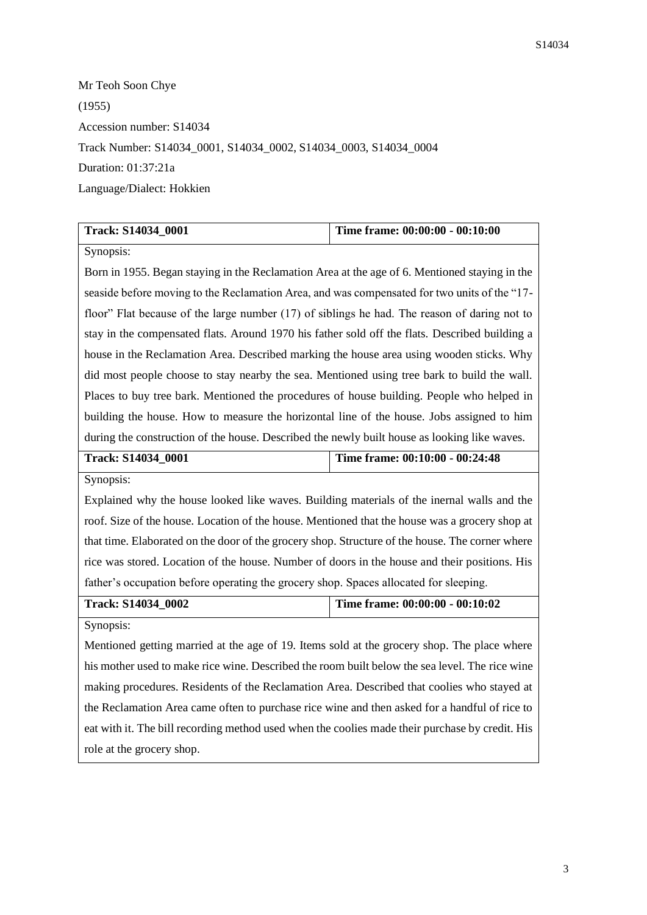Mr Teoh Soon Chye (1955) Accession number: S14034 Track Number: S14034\_0001, S14034\_0002, S14034\_0003, S14034\_0004 Duration: 01:37:21a Language/Dialect: Hokkien

| Track: S14034 0001                                                                             | Time frame: 00:00:00 - 00:10:00 |  |
|------------------------------------------------------------------------------------------------|---------------------------------|--|
| Synopsis:                                                                                      |                                 |  |
| Born in 1955. Began staying in the Reclamation Area at the age of 6. Mentioned staying in the  |                                 |  |
| seaside before moving to the Reclamation Area, and was compensated for two units of the "17-   |                                 |  |
| floor" Flat because of the large number (17) of siblings he had. The reason of daring not to   |                                 |  |
| stay in the compensated flats. Around 1970 his father sold off the flats. Described building a |                                 |  |
| house in the Reclamation Area. Described marking the house area using wooden sticks. Why       |                                 |  |
| did most people choose to stay nearby the sea. Mentioned using tree bark to build the wall.    |                                 |  |
| Places to buy tree bark. Mentioned the procedures of house building. People who helped in      |                                 |  |
| building the house. How to measure the horizontal line of the house. Jobs assigned to him      |                                 |  |
| during the construction of the house. Described the newly built house as looking like waves.   |                                 |  |

| <b>Track: S14034 0001</b> | Time frame: 00:10:00 - 00:24:48 |
|---------------------------|---------------------------------|
| Synopsis:                 |                                 |

Explained why the house looked like waves. Building materials of the inernal walls and the roof. Size of the house. Location of the house. Mentioned that the house was a grocery shop at that time. Elaborated on the door of the grocery shop. Structure of the house. The corner where rice was stored. Location of the house. Number of doors in the house and their positions. His father's occupation before operating the grocery shop. Spaces allocated for sleeping.

## **Track: S14034\_0002 Time frame: 00:00:00 - 00:10:02**

Synopsis:

Mentioned getting married at the age of 19. Items sold at the grocery shop. The place where his mother used to make rice wine. Described the room built below the sea level. The rice wine making procedures. Residents of the Reclamation Area. Described that coolies who stayed at the Reclamation Area came often to purchase rice wine and then asked for a handful of rice to eat with it. The bill recording method used when the coolies made their purchase by credit. His role at the grocery shop.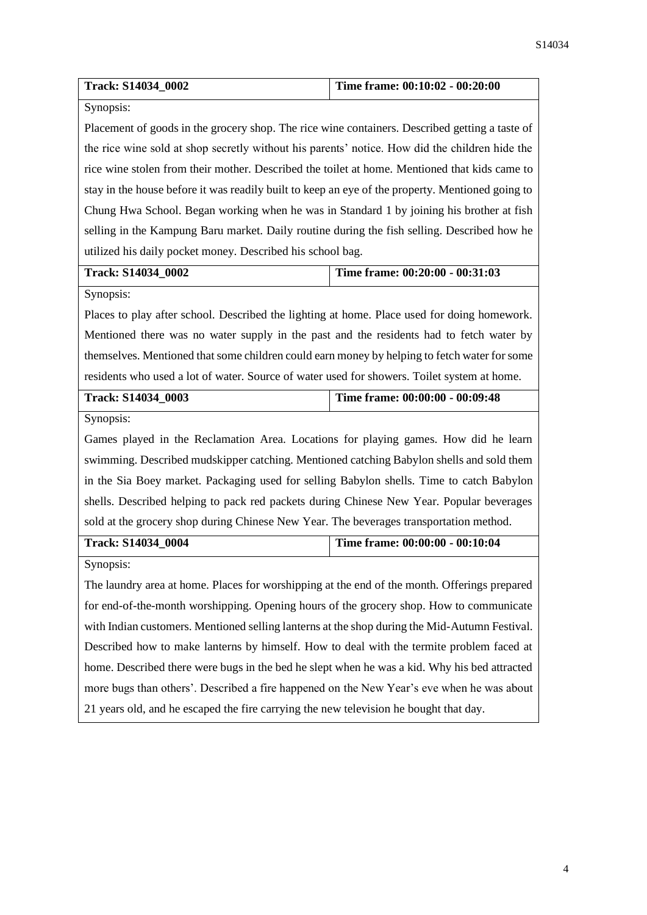| Track: S14034_0002                                                                               | Time frame: 00:10:02 - 00:20:00 |  |
|--------------------------------------------------------------------------------------------------|---------------------------------|--|
| Synopsis:                                                                                        |                                 |  |
| Placement of goods in the grocery shop. The rice wine containers. Described getting a taste of   |                                 |  |
| the rice wine sold at shop secretly without his parents' notice. How did the children hide the   |                                 |  |
| rice wine stolen from their mother. Described the toilet at home. Mentioned that kids came to    |                                 |  |
| stay in the house before it was readily built to keep an eye of the property. Mentioned going to |                                 |  |
| Chung Hwa School. Began working when he was in Standard 1 by joining his brother at fish         |                                 |  |
| selling in the Kampung Baru market. Daily routine during the fish selling. Described how he      |                                 |  |
| utilized his daily pocket money. Described his school bag.                                       |                                 |  |
| Track: S14034_0002                                                                               | Time frame: 00:20:00 - 00:31:03 |  |
| Synopsis:                                                                                        |                                 |  |
| Places to play after school. Described the lighting at home. Place used for doing homework.      |                                 |  |
| Mentioned there was no water supply in the past and the residents had to fetch water by          |                                 |  |
| themselves. Mentioned that some children could earn money by helping to fetch water for some     |                                 |  |
| residents who used a lot of water. Source of water used for showers. Toilet system at home.      |                                 |  |
| Track: S14034_0003                                                                               | Time frame: 00:00:00 - 00:09:48 |  |
| Synopsis:                                                                                        |                                 |  |
| Games played in the Reclamation Area. Locations for playing games. How did he learn              |                                 |  |
| swimming. Described mudskipper catching. Mentioned catching Babylon shells and sold them         |                                 |  |
| in the Sia Boey market. Packaging used for selling Babylon shells. Time to catch Babylon         |                                 |  |
| shells. Described helping to pack red packets during Chinese New Year. Popular beverages         |                                 |  |
| sold at the grocery shop during Chinese New Year. The beverages transportation method.           |                                 |  |
| Track: S14034_0004                                                                               | Time frame: 00:00:00 - 00:10:04 |  |
| Synopsis:                                                                                        |                                 |  |
| The laundry area at home. Places for worshipping at the end of the month. Offerings prepared     |                                 |  |
| for end-of-the-month worshipping. Opening hours of the grocery shop. How to communicate          |                                 |  |
| with Indian customers. Mentioned selling lanterns at the shop during the Mid-Autumn Festival.    |                                 |  |
| Described how to make lanterns by himself. How to deal with the termite problem faced at         |                                 |  |
| home. Described there were bugs in the bed he slept when he was a kid. Why his bed attracted     |                                 |  |
| more bugs than others'. Described a fire happened on the New Year's eve when he was about        |                                 |  |
| 21 years old, and he escaped the fire carrying the new television he bought that day.            |                                 |  |